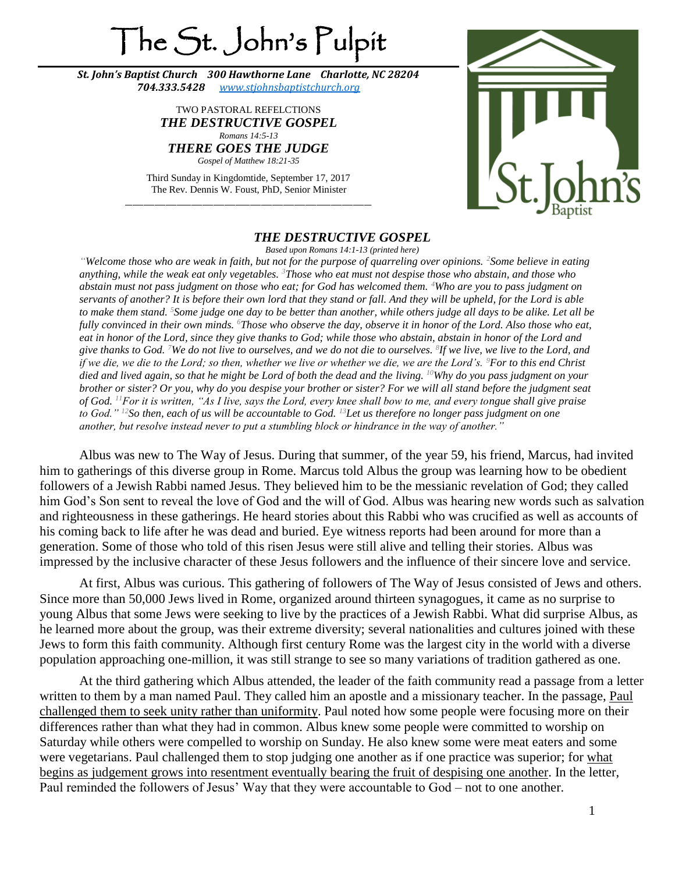## The St. John's Pulpit

*St. John's Baptist Church 300 Hawthorne Lane Charlotte, NC 28204 704.333.5428 [www.stjohnsbaptistchurch.org](http://www.stjohnsbaptistchurch.org/)*

> TWO PASTORAL REFELCTIONS *THE DESTRUCTIVE GOSPEL Romans 14:5-13 THERE GOES THE JUDGE Gospel of Matthew 18:21-35*

Third Sunday in Kingdomtide, September 17, 2017 The Rev. Dennis W. Foust, PhD, Senior Minister \_\_\_\_\_\_\_\_\_\_\_\_\_\_\_\_\_\_\_\_\_\_\_\_\_\_\_\_\_\_\_\_\_\_\_\_\_\_\_\_\_\_\_\_\_\_\_\_\_\_\_\_\_\_\_\_\_\_\_\_\_\_\_\_\_\_\_



## *THE DESTRUCTIVE GOSPEL*

*Based upon Romans 14:1-13 (printed here)*

*"Welcome those who are weak in faith, but not for the purpose of quarreling over opinions. <sup>2</sup>Some believe in eating anything, while the weak eat only vegetables. <sup>3</sup>Those who eat must not despise those who abstain, and those who abstain must not pass judgment on those who eat; for God has welcomed them. <sup>4</sup>Who are you to pass judgment on servants of another? It is before their own lord that they stand or fall. And they will be upheld, for the Lord is able to make them stand. <sup>5</sup>Some judge one day to be better than another, while others judge all days to be alike. Let all be fully convinced in their own minds. <sup>6</sup>Those who observe the day, observe it in honor of the Lord. Also those who eat, eat in honor of the Lord, since they give thanks to God; while those who abstain, abstain in honor of the Lord and give thanks to God. <sup>7</sup>We do not live to ourselves, and we do not die to ourselves. <sup>8</sup> If we live, we live to the Lord, and if we die, we die to the Lord; so then, whether we live or whether we die, we are the Lord's. <sup>9</sup>For to this end Christ died and lived again, so that he might be Lord of both the dead and the living. <sup>10</sup>Why do you pass judgment on your brother or sister? Or you, why do you despise your brother or sister? For we will all stand before the judgment seat of God. <sup>11</sup>For it is written, "As I live, says the Lord, every knee shall bow to me, and every tongue shall give praise to God." <sup>12</sup>So then, each of us will be accountable to God. <sup>13</sup>Let us therefore no longer pass judgment on one another, but resolve instead never to put a stumbling block or hindrance in the way of another."*

Albus was new to The Way of Jesus. During that summer, of the year 59, his friend, Marcus, had invited him to gatherings of this diverse group in Rome. Marcus told Albus the group was learning how to be obedient followers of a Jewish Rabbi named Jesus. They believed him to be the messianic revelation of God; they called him God's Son sent to reveal the love of God and the will of God. Albus was hearing new words such as salvation and righteousness in these gatherings. He heard stories about this Rabbi who was crucified as well as accounts of his coming back to life after he was dead and buried. Eye witness reports had been around for more than a generation. Some of those who told of this risen Jesus were still alive and telling their stories. Albus was impressed by the inclusive character of these Jesus followers and the influence of their sincere love and service.

At first, Albus was curious. This gathering of followers of The Way of Jesus consisted of Jews and others. Since more than 50,000 Jews lived in Rome, organized around thirteen synagogues, it came as no surprise to young Albus that some Jews were seeking to live by the practices of a Jewish Rabbi. What did surprise Albus, as he learned more about the group, was their extreme diversity; several nationalities and cultures joined with these Jews to form this faith community. Although first century Rome was the largest city in the world with a diverse population approaching one-million, it was still strange to see so many variations of tradition gathered as one.

At the third gathering which Albus attended, the leader of the faith community read a passage from a letter written to them by a man named Paul. They called him an apostle and a missionary teacher. In the passage, Paul challenged them to seek unity rather than uniformity. Paul noted how some people were focusing more on their differences rather than what they had in common. Albus knew some people were committed to worship on Saturday while others were compelled to worship on Sunday. He also knew some were meat eaters and some were vegetarians. Paul challenged them to stop judging one another as if one practice was superior; for what begins as judgement grows into resentment eventually bearing the fruit of despising one another. In the letter, Paul reminded the followers of Jesus' Way that they were accountable to God – not to one another.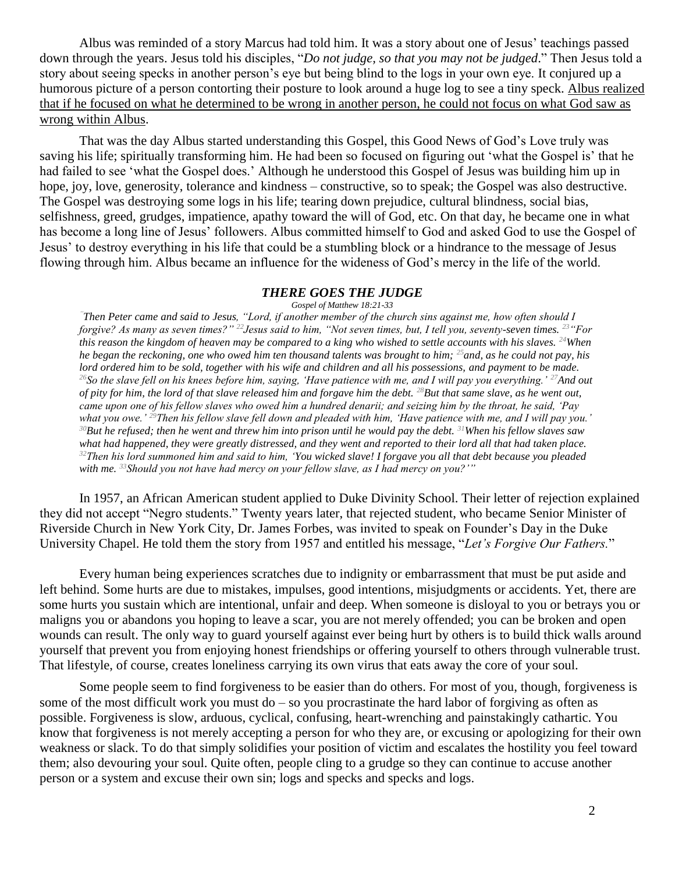Albus was reminded of a story Marcus had told him. It was a story about one of Jesus' teachings passed down through the years. Jesus told his disciples, "*Do not judge, so that you may not be judged*." Then Jesus told a story about seeing specks in another person's eye but being blind to the logs in your own eye. It conjured up a humorous picture of a person contorting their posture to look around a huge log to see a tiny speck. Albus realized that if he focused on what he determined to be wrong in another person, he could not focus on what God saw as wrong within Albus.

That was the day Albus started understanding this Gospel, this Good News of God's Love truly was saving his life; spiritually transforming him. He had been so focused on figuring out 'what the Gospel is' that he had failed to see 'what the Gospel does.' Although he understood this Gospel of Jesus was building him up in hope, joy, love, generosity, tolerance and kindness – constructive, so to speak; the Gospel was also destructive. The Gospel was destroying some logs in his life; tearing down prejudice, cultural blindness, social bias, selfishness, greed, grudges, impatience, apathy toward the will of God, etc. On that day, he became one in what has become a long line of Jesus' followers. Albus committed himself to God and asked God to use the Gospel of Jesus' to destroy everything in his life that could be a stumbling block or a hindrance to the message of Jesus flowing through him. Albus became an influence for the wideness of God's mercy in the life of the world.

## *THERE GOES THE JUDGE*

*Gospel of Matthew 18:21-33*

*"Then Peter came and said to Jesus, "Lord, if another member of the church sins against me, how often should I forgive? As many as seven times?" <sup>22</sup>Jesus said to him, "Not seven times, but, I tell you, seventy-seven times. <sup>23</sup>"For this reason the kingdom of heaven may be compared to a king who wished to settle accounts with his slaves. <sup>24</sup>When he began the reckoning, one who owed him ten thousand talents was brought to him; <sup>25</sup>and, as he could not pay, his lord ordered him to be sold, together with his wife and children and all his possessions, and payment to be made. <sup>26</sup>So the slave fell on his knees before him, saying, 'Have patience with me, and I will pay you everything.' <sup>27</sup>And out of pity for him, the lord of that slave released him and forgave him the debt. <sup>28</sup>But that same slave, as he went out, came upon one of his fellow slaves who owed him a hundred denarii; and seizing him by the throat, he said, 'Pay what you owe.' <sup>29</sup>Then his fellow slave fell down and pleaded with him, 'Have patience with me, and I will pay you.' <sup>30</sup>But he refused; then he went and threw him into prison until he would pay the debt. <sup>31</sup>When his fellow slaves saw what had happened, they were greatly distressed, and they went and reported to their lord all that had taken place. <sup>32</sup>Then his lord summoned him and said to him, 'You wicked slave! I forgave you all that debt because you pleaded with me. <sup>33</sup>Should you not have had mercy on your fellow slave, as I had mercy on you?'"*

In 1957, an African American student applied to Duke Divinity School. Their letter of rejection explained they did not accept "Negro students." Twenty years later, that rejected student, who became Senior Minister of Riverside Church in New York City, Dr. James Forbes, was invited to speak on Founder's Day in the Duke University Chapel. He told them the story from 1957 and entitled his message, "*Let's Forgive Our Fathers.*"

Every human being experiences scratches due to indignity or embarrassment that must be put aside and left behind. Some hurts are due to mistakes, impulses, good intentions, misjudgments or accidents. Yet, there are some hurts you sustain which are intentional, unfair and deep. When someone is disloyal to you or betrays you or maligns you or abandons you hoping to leave a scar, you are not merely offended; you can be broken and open wounds can result. The only way to guard yourself against ever being hurt by others is to build thick walls around yourself that prevent you from enjoying honest friendships or offering yourself to others through vulnerable trust. That lifestyle, of course, creates loneliness carrying its own virus that eats away the core of your soul.

Some people seem to find forgiveness to be easier than do others. For most of you, though, forgiveness is some of the most difficult work you must do – so you procrastinate the hard labor of forgiving as often as possible. Forgiveness is slow, arduous, cyclical, confusing, heart-wrenching and painstakingly cathartic. You know that forgiveness is not merely accepting a person for who they are, or excusing or apologizing for their own weakness or slack. To do that simply solidifies your position of victim and escalates the hostility you feel toward them; also devouring your soul. Quite often, people cling to a grudge so they can continue to accuse another person or a system and excuse their own sin; logs and specks and specks and logs.